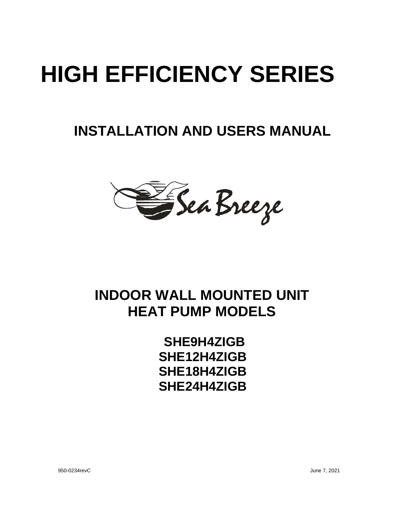# **HIGH EFFICIENCY SERIES**

## **INSTALLATION AND USERS MANUAL**

E Sea Breeze

## **INDOOR WALL MOUNTED UNIT HEAT PUMP MODELS**

**SHE9H4ZIGB SHE12H4ZIGB SHE18H4ZIGB SHE24H4ZIGB**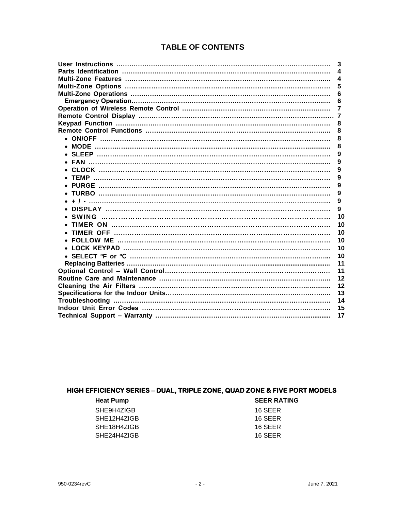#### **TABLE OF CONTENTS**

|                                             | 3                       |
|---------------------------------------------|-------------------------|
|                                             | 4                       |
|                                             | $\overline{\mathbf{4}}$ |
|                                             | 5                       |
|                                             | 6                       |
|                                             | 6                       |
|                                             | 7                       |
|                                             | -7                      |
|                                             | 8                       |
|                                             | 8                       |
|                                             | 8                       |
|                                             | 8                       |
|                                             | 9                       |
|                                             | 9                       |
|                                             | 9                       |
|                                             | 9                       |
|                                             | 9                       |
| • TURBO …………………………………………………………………………………………… | 9                       |
|                                             | 9                       |
|                                             | 9                       |
|                                             | 10                      |
|                                             | 10                      |
|                                             | 10                      |
|                                             | 10                      |
|                                             | 10                      |
|                                             | 10                      |
|                                             | 11                      |
|                                             | 11                      |
|                                             | 12                      |
|                                             | 12                      |
|                                             | 13                      |
|                                             | 14                      |
|                                             | 15                      |
|                                             | 17                      |
|                                             |                         |

#### **HIGH EFFICIENCY SERIES – DUAL, TRIPLE ZONE, QUAD ZONE & FIVE PORT MODELS**

| <b>Heat Pump</b> | <b>SEER RATING</b> |
|------------------|--------------------|
| SHE9H4ZIGB       | 16 SEER            |
| SHE12H4ZIGB      | 16 SEER            |
| SHE18H4ZIGB      | 16 SEER            |
| SHE24H4ZIGB      | 16 SEER            |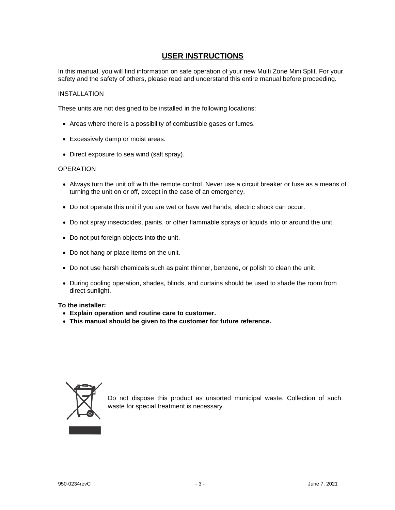#### **USER INSTRUCTIONS**

In this manual, you will find information on safe operation of your new Multi Zone Mini Split. For your safety and the safety of others, please read and understand this entire manual before proceeding.

#### INSTALLATION

These units are not designed to be installed in the following locations:

- Areas where there is a possibility of combustible gases or fumes.
- Excessively damp or moist areas.
- Direct exposure to sea wind (salt spray).

#### **OPERATION**

- Always turn the unit off with the remote control. Never use a circuit breaker or fuse as a means of turning the unit on or off, except in the case of an emergency.
- Do not operate this unit if you are wet or have wet hands, electric shock can occur.
- Do not spray insecticides, paints, or other flammable sprays or liquids into or around the unit.
- Do not put foreign objects into the unit.
- Do not hang or place items on the unit.
- Do not use harsh chemicals such as paint thinner, benzene, or polish to clean the unit.
- During cooling operation, shades, blinds, and curtains should be used to shade the room from direct sunlight.

#### **To the installer:**

- **Explain operation and routine care to customer.**
- **This manual should be given to the customer for future reference.**



Do not dispose this product as unsorted municipal waste. Collection of such waste for special treatment is necessary.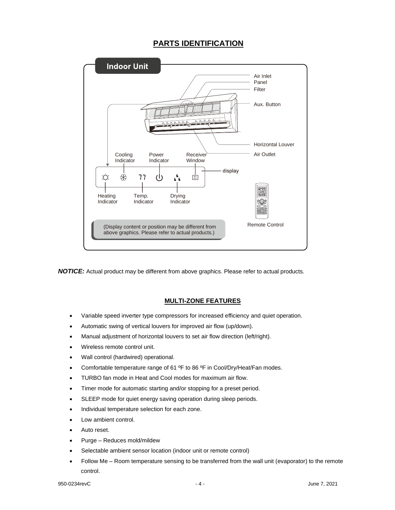#### **PARTS IDENTIFICATION**



*NOTICE:* Actual product may be different from above graphics. Please refer to actual products.

#### **MULTI-ZONE FEATURES**

- Variable speed inverter type compressors for increased efficiency and quiet operation.
- Automatic swing of vertical louvers for improved air flow (up/down).
- Manual adjustment of horizontal louvers to set air flow direction (left/right).
- Wireless remote control unit.
- Wall control (hardwired) operational.
- Comfortable temperature range of 61 °F to 86 °F in Cool/Dry/Heat/Fan modes.
- TURBO fan mode in Heat and Cool modes for maximum air flow.
- Timer mode for automatic starting and/or stopping for a preset period.
- SLEEP mode for quiet energy saving operation during sleep periods.
- Individual temperature selection for each zone.
- Low ambient control.
- Auto reset.
- Purge Reduces mold/mildew
- Selectable ambient sensor location (indoor unit or remote control)
- Follow Me Room temperature sensing to be transferred from the wall unit (evaporator) to the remote control.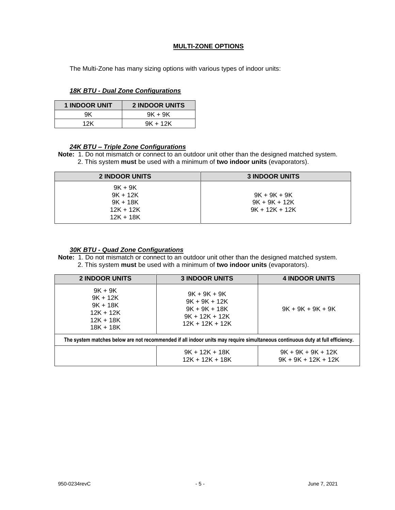#### **MULTI-ZONE OPTIONS**

The Multi-Zone has many sizing options with various types of indoor units:

*18K BTU - Dual Zone Configurations* 

| <b>1 INDOOR UNIT</b> | <b>2 INDOOR UNITS</b> |
|----------------------|-----------------------|
| 9K.                  | $9K + 9K$             |
| 12K                  | $9K + 12K$            |

#### *24K BTU – Triple Zone Configurations*

**Note:** 1. Do not mismatch or connect to an outdoor unit other than the designed matched system. 2. This system **must** be used with a minimum of **two indoor units** (evaporators).

| <b>2 INDOOR UNITS</b> | <b>3 INDOOR UNITS</b> |
|-----------------------|-----------------------|
| $9K + 9K$             |                       |
| $9K + 12K$            | $9K + 9K + 9K$        |
| $9K + 18K$            | $9K + 9K + 12K$       |
| $12K + 12K$           | $9K + 12K + 12K$      |
| $12K + 18K$           |                       |

#### *30K BTU - Quad Zone Configurations*

**Note:** 1. Do not mismatch or connect to an outdoor unit other than the designed matched system. 2. This system **must** be used with a minimum of **two indoor units** (evaporators).

| <b>2 INDOOR UNITS</b>                                                                                                         | <b>3 INDOOR UNITS</b>                                                                         | <b>4 INDOOR UNITS</b>                         |  |  |
|-------------------------------------------------------------------------------------------------------------------------------|-----------------------------------------------------------------------------------------------|-----------------------------------------------|--|--|
| $9K + 9K$<br>$9K + 12K$<br>$9K + 18K$<br>$12K + 12K$<br>$12K + 18K$<br>$18K + 18K$                                            | $9K + 9K + 9K$<br>$9K + 9K + 12K$<br>$9K + 9K + 18K$<br>$9K + 12K + 12K$<br>$12K + 12K + 12K$ | $9K + 9K + 9K + 9K$                           |  |  |
| The system matches below are not recommended if all indoor units may require simultaneous continuous duty at full efficiency. |                                                                                               |                                               |  |  |
|                                                                                                                               | $9K + 12K + 18K$<br>$12K + 12K + 18K$                                                         | $9K + 9K + 9K + 12K$<br>$9K + 9K + 12K + 12K$ |  |  |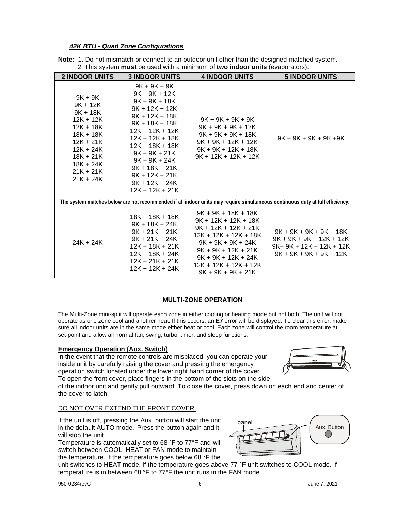#### *42K BTU - Quad Zone Configurations*

| <b>Note:</b> 1. Do not mismatch or connect to an outdoor unit other than the designed matched system. |  |
|-------------------------------------------------------------------------------------------------------|--|
| 2. This system must be used with a minimum of two indoor units (evaporators).                         |  |

| <b>2 INDOOR UNITS</b>                                                                                                                                                      | <b>3 INDOOR UNITS</b>                                                                                                                                                                                                                                                                                | <b>4 INDOOR UNITS</b>                                                                                                                                                                                                         | <b>5 INDOOR UNITS</b>                                                                                                         |  |
|----------------------------------------------------------------------------------------------------------------------------------------------------------------------------|------------------------------------------------------------------------------------------------------------------------------------------------------------------------------------------------------------------------------------------------------------------------------------------------------|-------------------------------------------------------------------------------------------------------------------------------------------------------------------------------------------------------------------------------|-------------------------------------------------------------------------------------------------------------------------------|--|
| $9K + 9K$<br>$9K + 12K$<br>$9K + 18K$<br>$12K + 12K$<br>$12K + 18K$<br>$18K + 18K$<br>$12K + 21K$<br>$12K + 24K$<br>$18K + 21K$<br>18K + 24K<br>$21K + 21K$<br>$21K + 24K$ | $9K + 9K + 9K$<br>$9K + 9K + 12K$<br>$9K + 9K + 18K$<br>$9K + 12K + 12K$<br>$9K + 12K + 18K$<br>$9K + 18K + 18K$<br>12K + 12K + 12K<br>$12K + 12K + 18K$<br>$12K + 18K + 18K$<br>$9K + 9K + 21K$<br>$9K + 9K + 24K$<br>$9K + 18K + 21K$<br>$9K + 12K + 21K$<br>$9K + 12K + 24K$<br>$12K + 12K + 21K$ | $9K + 9K + 9K + 9K$<br>$9K + 9K + 9K + 12K$<br>$9K + 9K + 9K + 18K$<br>$9K + 9K + 12K + 12K$<br>$9K + 9K + 12K + 18K$<br>$9K + 12K + 12K + 12K$                                                                               | $9K + 9K + 9K + 9K + 9K$                                                                                                      |  |
|                                                                                                                                                                            |                                                                                                                                                                                                                                                                                                      |                                                                                                                                                                                                                               | The system matches below are not recommended if all indoor units may require simultaneous continuous duty at full efficiency. |  |
| $24K + 24K$                                                                                                                                                                | $18K + 18K + 18K$<br>$9K + 18K + 24K$<br>$9K + 21K + 21K$<br>$9K + 21K + 24K$<br>$12K + 18K + 21K$<br>$12K + 18K + 24K$<br>$12K + 21K + 21K$<br>$12K + 12K + 24K$                                                                                                                                    | $9K + 9K + 18K + 18K$<br>$9K + 12K + 12K + 18K$<br>$9K + 12K + 12K + 21K$<br>12K + 12K + 12K + 18K<br>$9K + 9K + 9K + 24K$<br>$9K + 9K + 12K + 21K$<br>$9K + 9K + 12K + 24K$<br>12K + 12K + 12K + 12K<br>$9K + 9K + 9K + 21K$ | $9K + 9K + 9K + 9K + 18K$<br>$9K + 9K + 9K + 12K + 12K$<br>$9K + 9K + 12K + 12K + 12K$<br>$9K + 9K + 9K + 9K + 12K$           |  |

#### **MULTI-ZONE OPERATION**

The Multi-Zone mini-split will operate each zone in either cooling or heating mode but not both. The unit will not operate as one zone cool and another heat. If this occurs, an **E7** error will be displayed. To clear this error, make sure all indoor units are in the same mode either heat or cool. Each zone will control the room temperature at set-point and allow all normal fan, swing, turbo, timer, and sleep functions.

#### **Emergency Operation (Aux. Switch)**

In the event that the remote controls are misplaced, you can operate your inside unit by carefully raising the cover and pressing the emergency operation switch located under the lower right hand corner of the cover. To open the front cover, place fingers in the bottom of the slots on the side



of the indoor unit and gently pull outward. To close the cover, press down on each end and center of the cover to latch.

panel

#### DO NOT OVER EXTEND THE FRONT COVER.

If the unit is off, pressing the Aux. button will start the unit in the default AUTO mode. Press the button again and it will stop the unit.

Temperature is automatically set to 68 °F to 77°F and will switch between COOL, HEAT or FAN mode to maintain the temperature. If the temperature goes below 68 °F the

unit switches to HEAT mode. If the temperature goes above 77 °F unit switches to COOL mode. If temperature is in between 68 °F to 77°F the unit runs in the FAN mode.

Aux. Button

 $(\ )$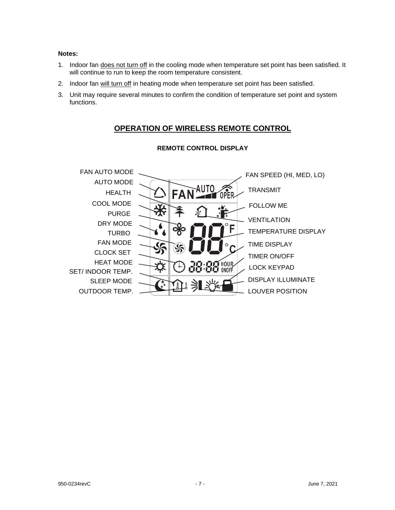#### **Notes:**

- 1. Indoor fan does not turn off in the cooling mode when temperature set point has been satisfied. It will continue to run to keep the room temperature consistent.
- 2. Indoor fan will turn off in heating mode when temperature set point has been satisfied.
- 3. Unit may require several minutes to confirm the condition of temperature set point and system functions.

#### **OPERATION OF WIRELESS REMOTE CONTROL**



#### **REMOTE CONTROL DISPLAY**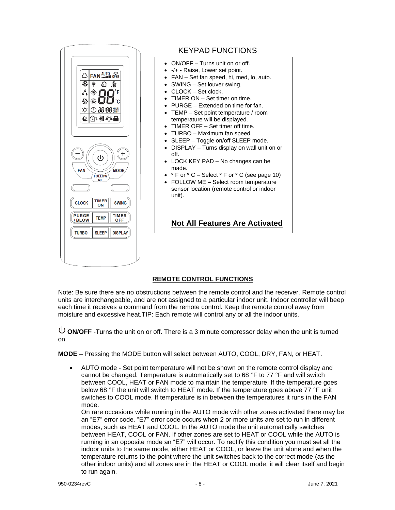

#### KEYPAD FUNCTIONS

- ON/OFF Turns unit on or off.
- -/+ Raise, Lower set point.
- FAN Set fan speed, hi, med, lo, auto.
- SWING Set louver swing.
- CLOCK Set clock.
- TIMER ON Set timer on time.
- PURGE Extended on time for fan.
- TEMP Set point temperature / room temperature will be displayed.
- TIMER OFF Set timer off time.
- TURBO Maximum fan speed.
- SLEEP Toggle on/off SLEEP mode.
- DISPLAY Turns display on wall unit on or off.
- LOCK KEY PAD No changes can be made.
- **º**F or **º**C Select **º**F or **º**C (see page 10)
- FOLLOW ME Select room temperature sensor location (remote control or indoor unit).

#### **Not All Features Are Activated**

#### **REMOTE CONTROL FUNCTIONS**

Note: Be sure there are no obstructions between the remote control and the receiver. Remote control units are interchangeable, and are not assigned to a particular indoor unit. Indoor controller will beep each time it receives a command from the remote control. Keep the remote control away from moisture and excessive heat.TIP: Each remote will control any or all the indoor units.

 $\bigcup$  **ON/OFF** -Turns the unit on or off. There is a 3 minute compressor delay when the unit is turned on.

**MODE** – Pressing the MODE button will select between AUTO, COOL, DRY, FAN, or HEAT.

• AUTO mode - Set point temperature will not be shown on the remote control display and cannot be changed. Temperature is automatically set to 68 °F to 77 °F and will switch between COOL, HEAT or FAN mode to maintain the temperature. If the temperature goes below 68 °F the unit will switch to HEAT mode. If the temperature goes above 77 °F unit switches to COOL mode. If temperature is in between the temperatures it runs in the FAN mode.

On rare occasions while running in the AUTO mode with other zones activated there may be an "E7" error code. "E7" error code occurs when 2 or more units are set to run in different modes, such as HEAT and COOL. In the AUTO mode the unit automatically switches between HEAT, COOL or FAN. If other zones are set to HEAT or COOL while the AUTO is running in an opposite mode an "E7" will occur. To rectify this condition you must set all the indoor units to the same mode, either HEAT or COOL, or leave the unit alone and when the temperature returns to the point where the unit switches back to the correct mode (as the other indoor units) and all zones are in the HEAT or COOL mode, it will clear itself and begin to run again.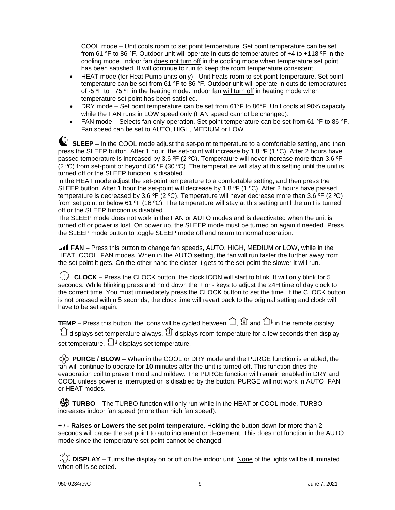COOL mode – Unit cools room to set point temperature. Set point temperature can be set from 61 °F to 86 °F. Outdoor unit will operate in outside temperatures of +4 to +118 ºF in the cooling mode. Indoor fan does not turn off in the cooling mode when temperature set point has been satisfied. It will continue to run to keep the room temperature consistent.

- HEAT mode (for Heat Pump units only) Unit heats room to set point temperature. Set point temperature can be set from 61 °F to 86 °F. Outdoor unit will operate in outside temperatures of -5 ºF to +75 ºF in the heating mode. Indoor fan will turn off in heating mode when temperature set point has been satisfied.
- DRY mode Set point temperature can be set from 61°F to 86°F. Unit cools at 90% capacity while the FAN runs in LOW speed only (FAN speed cannot be changed).
- FAN mode Selects fan only operation. Set point temperature can be set from 61 °F to 86 °F. Fan speed can be set to AUTO, HIGH, MEDIUM or LOW.

**SLEEP** – In the COOL mode adjust the set-point temperature to a comfortable setting, and then press the SLEEP button. After 1 hour, the set-point will increase by 1.8 °F (1 °C). After 2 hours have passed temperature is increased by 3.6 °F (2 °C). Temperature will never increase more than 3.6 °F (2  $\degree$ C) from set-point or beyond 86  $\degree$ F (30  $\degree$ C). The temperature will stay at this setting until the unit is turned off or the SLEEP function is disabled.

In the HEAT mode adjust the set-point temperature to a comfortable setting, and then press the SLEEP button. After 1 hour the set-point will decrease by 1.8 °F (1 °C). After 2 hours have passed temperature is decreased by 3.6 °F (2 °C). Temperature will never decrease more than 3.6 °F (2 °C) from set point or below 61 °F (16 °C). The temperature will stay at this setting until the unit is turned off or the SLEEP function is disabled.

The SLEEP mode does not work in the FAN or AUTO modes and is deactivated when the unit is turned off or power is lost. On power up, the SLEEP mode must be turned on again if needed. Press the SLEEP mode button to toggle SLEEP mode off and return to normal operation.

**FAN** – Press this button to change fan speeds, AUTO, HIGH, MEDIUM or LOW, while in the HEAT, COOL, FAN modes. When in the AUTO setting, the fan will run faster the further away from the set point it gets. On the other hand the closer it gets to the set point the slower it will run.

 **CLOCK** – Press the CLOCK button, the clock ICON will start to blink. It will only blink for 5 seconds. While blinking press and hold down the + or - keys to adjust the 24H time of day clock to the correct time. You must immediately press the CLOCK button to set the time. If the CLOCK button is not pressed within 5 seconds, the clock time will revert back to the original setting and clock will have to be set again.

**TEMP** – Press this button, the icons will be cycled between  $\bigcap$ ,  $\mathbb D$  and  $\bigcap$ <sup>1</sup> in the remote display.  $\bigcirc$  displays set temperature always.  $\mathfrak N$  displays room temperature for a few seconds then display set temperature.  $\Box$ <sup> $\ell$ </sup> displays set temperature.

 **PURGE / BLOW** – When in the COOL or DRY mode and the PURGE function is enabled, the fan will continue to operate for 10 minutes after the unit is turned off. This function dries the evaporation coil to prevent mold and mildew. The PURGE function will remain enabled in DRY and COOL unless power is interrupted or is disabled by the button. PURGE will not work in AUTO, FAN or HEAT modes.

**SS TURBO** – The TURBO function will only run while in the HEAT or COOL mode. TURBO increases indoor fan speed (more than high fan speed).

**+** / **- Raises or Lowers the set point temperature**. Holding the button down for more than 2 seconds will cause the set point to auto increment or decrement. This does not function in the AUTO mode since the temperature set point cannot be changed.

 $\widetilde{\chi}\widetilde{\chi}$  DISPLAY – Turns the display on or off on the indoor unit. None of the lights will be illuminated when off is selected.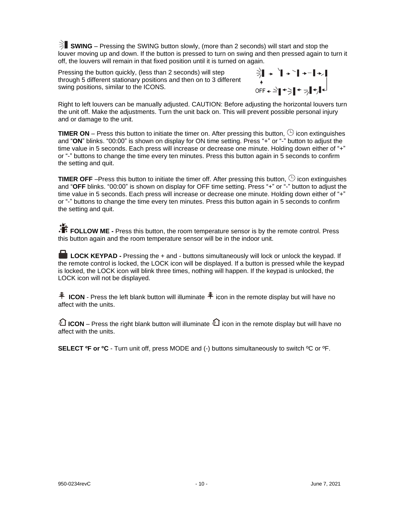**SWING** – Pressing the SWING button slowly, (more than 2 seconds) will start and stop the louver moving up and down. If the button is pressed to turn on swing and then pressed again to turn it off, the louvers will remain in that fixed position until it is turned on again.

Pressing the button quickly, (less than 2 seconds) will step through 5 different stationary positions and then on to 3 different swing positions, similar to the ICONS.



Right to left louvers can be manually adjusted. CAUTION: Before adjusting the horizontal louvers turn the unit off. Make the adjustments. Turn the unit back on. This will prevent possible personal injury and or damage to the unit.

**TIMER ON** – Press this button to initiate the timer on. After pressing this button,  $\oplus$  icon extinguishes and "**ON**" blinks. "00:00" is shown on display for ON time setting. Press "+" or "-" button to adjust the time value in 5 seconds. Each press will increase or decrease one minute. Holding down either of "+" or "-" buttons to change the time every ten minutes. Press this button again in 5 seconds to confirm the setting and quit.

**TIMER OFF** –Press this button to initiate the timer off. After pressing this button,  $\oplus$  icon extinguishes and "**OFF** blinks. "00:00" is shown on display for OFF time setting. Press "+" or "-" button to adjust the time value in 5 seconds. Each press will increase or decrease one minute. Holding down either of "+" or "-" buttons to change the time every ten minutes. Press this button again in 5 seconds to confirm the setting and quit.

**FOLLOW ME** - Press this button, the room temperature sensor is by the remote control. Press this button again and the room temperature sensor will be in the indoor unit.

**LOCK KEYPAD -** Pressing the + and - buttons simultaneously will lock or unlock the keypad. If the remote control is locked, the LOCK icon will be displayed. If a button is pressed while the keypad is locked, the LOCK icon will blink three times, nothing will happen. If the keypad is unlocked, the LOCK icon will not be displayed.

 $\widehat{P}$  **ICON** - Press the left blank button will illuminate  $\widehat{P}$  icon in the remote display but will have no affect with the units.

**红 ICON** – Press the right blank button will illuminate **红** icon in the remote display but will have no affect with the units.

**SELECT ºF or ºC** - Turn unit off, press MODE and (-) buttons simultaneously to switch ºC or ºF.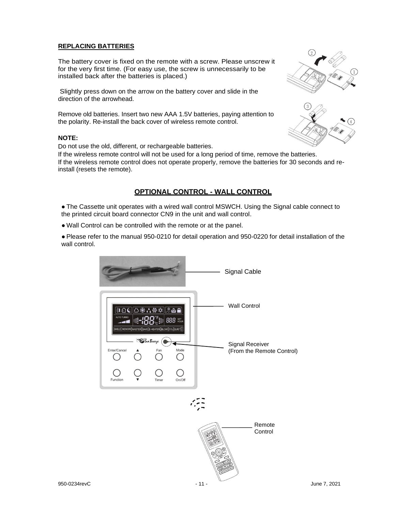#### **REPLACING BATTERIES**

The battery cover is fixed on the remote with a screw. Please unscrew it for the very first time. (For easy use, the screw is unnecessarily to be installed back after the batteries is placed.)

Slightly press down on the arrow on the battery cover and slide in the direction of the arrowhead.

Remove old batteries. Insert two new AAA 1.5V batteries, paying attention to the polarity. Re-install the back cover of wireless remote control.

#### **NOTE:**

Do not use the old, different, or rechargeable batteries.

If the wireless remote control will not be used for a long period of time, remove the batteries. If the wireless remote control does not operate properly, remove the batteries for 30 seconds and reinstall (resets the remote).

#### **OPTIONAL CONTROL - WALL CONTROL**

• The Cassette unit operates with a wired wall control MSWCH. Using the Signal cable connect to the printed circuit board connector CN9 in the unit and wall control.

● Wall Control can be controlled with the remote or at the panel.

● Please refer to the manual 950-0210 for detail operation and 950-0220 for detail installation of the wall control.





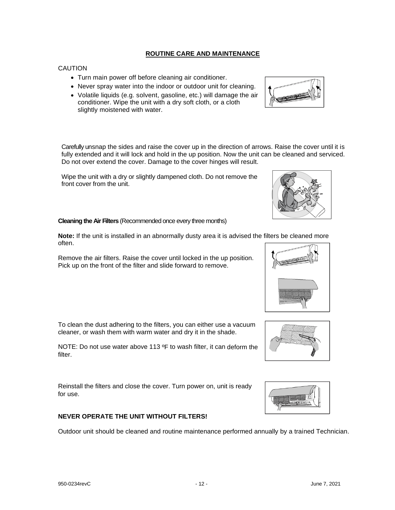### **ROUTINE CARE AND MAINTENANCE**

#### **CAUTION**

- Turn main power off before cleaning air conditioner.
- Never spray water into the indoor or outdoor unit for cleaning.
- Volatile liquids (e.g. solvent, gasoline, etc.) will damage the air conditioner. Wipe the unit with a dry soft cloth, or a cloth slightly moistened with water.

Carefully unsnap the sides and raise the cover up in the direction of arrows. Raise the cover until it is fully extended and it will lock and hold in the up position. Now the unit can be cleaned and serviced. Do not over extend the cover. Damage to the cover hinges will result.

Wipe the unit with a dry or slightly dampened cloth. Do not remove the front cover from the unit.

#### **Cleaning the Air Filters** (Recommended once every three months)

**Note:** If the unit is installed in an abnormally dusty area it is advised the filters be cleaned more often.

Remove the air filters. Raise the cover until locked in the up position. Pick up on the front of the filter and slide forward to remove.

To clean the dust adhering to the filters, you can either use a vacuum cleaner, or wash them with warm water and dry it in the shade.

NOTE: Do not use water above 113 ºF to wash filter, it can deform the filter.

Reinstall the filters and close the cover. Turn power on, unit is ready for use.

**NEVER OPERATE THE UNIT WITHOUT FILTERS!**

### Outdoor unit should be cleaned and routine maintenance performed annually by a trained Technician.









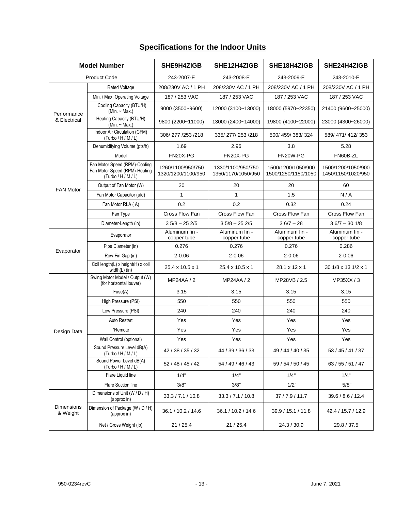| <b>Model Number</b>    |                                                                                 | SHE9H4ZIGB                              | SHE12H4ZIGB                              | SHE18H4ZIGB                               | SHE24H4ZIGB                              |
|------------------------|---------------------------------------------------------------------------------|-----------------------------------------|------------------------------------------|-------------------------------------------|------------------------------------------|
| <b>Product Code</b>    |                                                                                 | 243-2007-E                              | 243-2008-E                               | 243-2009-E                                | 243-2010-E                               |
|                        | Rated Voltage                                                                   | 208/230V AC / 1 PH                      | 208/230V AC / 1 PH<br>208/230V AC / 1 PH |                                           | 208/230V AC / 1 PH                       |
|                        | Min. / Max. Operating Voltage                                                   | 187 / 253 VAC                           | 187 / 253 VAC                            | 187 / 253 VAC                             | 187 / 253 VAC                            |
| Performance            | Cooling Capacity (BTU/H)<br>(Min. $\sim$ Max.)                                  | 9000 (3500~9600)                        | 12000 (3100~13000)                       | 18000 (5970~22350)                        | 21400 (9600~25000)                       |
| & Electrical           | Heating Capacity (BTU/H)<br>(Min. $\sim$ Max.)                                  | 9800 (2200~11000)                       | 13000 (2400~14000)                       | 19800 (4100~22000)                        | 23000 (4300~26000)                       |
|                        | Indoor Air Circulation (CFM)<br>(Turbo/H/M/L)                                   | 306/277 /253 /218                       | 335/277/253/218                          | 500/459/383/324                           |                                          |
|                        | Dehumidifying Volume (pts/h)                                                    | 1.69                                    | 2.96                                     | 3.8                                       | 5.28                                     |
|                        | Model                                                                           | FN20X-PG                                | FN20X-PG                                 | FN20W-PG                                  | FN60B-ZL                                 |
|                        | Fan Motor Speed (RPM)-Cooling<br>Fan Motor Speed (RPM)-Heating<br>(Turbo/H/M/L) | 1260/1100/950/750<br>1320/1200/1100/950 | 1330/1100/950/750<br>1350/1170/1050/950  | 1500/1200/1050/900<br>1500/1250/1150/1050 | 1500/1200/1050/900<br>1450/1150/1020/950 |
| <b>FAN Motor</b>       | Output of Fan Motor (W)                                                         | 20                                      | 20                                       | 20                                        | 60                                       |
|                        | Fan Motor Capacitor (ufd)                                                       | $\mathbf{1}$                            | 1                                        | 1.5                                       | N/A                                      |
|                        | Fan Motor RLA (A)                                                               | 0.2                                     | 0.2                                      | 0.32                                      | 0.24                                     |
|                        | Fan Type                                                                        | Cross Flow Fan                          | Cross Flow Fan                           | Cross Flow Fan                            | Cross Flow Fan                           |
|                        | Diameter-Length (in)                                                            | $35/8 - 252/5$                          | $35/8 - 252/5$                           | $36/7 - 28$                               | $36/7 - 301/8$                           |
|                        | Evaporator                                                                      | Aluminum fin -<br>copper tube           | Aluminum fin -<br>copper tube            | Aluminum fin -<br>copper tube             | Aluminum fin -<br>copper tube            |
| Evaporator             | Pipe Diameter (in)                                                              | 0.276                                   | 0.276                                    | 0.276                                     | 0.286                                    |
|                        | Row-Fin Gap (in)                                                                | $2 - 0.06$                              | $2 - 0.06$                               | $2 - 0.06$                                | $2 - 0.06$                               |
|                        | Coil length(L) x height(H) x coil<br>width(L) (in)                              | 25.4 x 10.5 x 1                         | 25.4 x 10.5 x 1                          | 28.1 x 12 x 1                             | 30 1/8 x 13 1/2 x 1                      |
|                        | Swing Motor Model / Output (W)<br>(for horizontal louver)                       | MP24AA / 2                              | MP24AA / 2                               | MP28VB / 2.5                              | MP35XX / 3                               |
|                        | Fuse(A)                                                                         | 3.15                                    | 3.15                                     | 3.15                                      | 3.15                                     |
|                        | High Pressure (PSI)                                                             | 550                                     | 550                                      | 550                                       | 550                                      |
|                        | Low Pressure (PSI)                                                              | 240                                     | 240                                      | 240                                       | 240                                      |
|                        | Auto Restart                                                                    | Yes                                     | Yes                                      | Yes                                       | Yes                                      |
| Design Data            | *Remote                                                                         | Yes                                     | Yes                                      | Yes                                       | Yes                                      |
|                        | Wall Control (optional)                                                         | Yes                                     | Yes                                      | Yes                                       | Yes                                      |
|                        | Sound Pressure Level dB(A)<br>(Turbo/H/M/L)                                     | 42 / 38 / 35 / 32                       | 44 / 39 / 36 / 33                        | 49 / 44 / 40 / 35                         | 53 / 45 / 41 / 37                        |
|                        | Sound Power Level dB(A)<br>(Turbo / H / M / L)                                  | 52 / 48 / 45 / 42                       | 54 / 49 / 46 / 43                        | 59 / 54 / 50 / 45                         | 63/55/51/47                              |
|                        | Flare Liquid line                                                               | 1/4"                                    | 1/4"                                     | 1/4"                                      | 1/4"                                     |
|                        | Flare Suction line                                                              | 3/8"                                    | 3/8"                                     | 1/2"                                      | 5/8"                                     |
|                        | Dimensions of Unit (W / D / H)<br>(approx in)                                   | 33.3 / 7.1 / 10.8                       | 33.3 / 7.1 / 10.8                        | 37/7.9/11.7                               | 39.6 / 8.6 / 12.4                        |
| Dimensions<br>& Weight | Dimension of Package (W / D / H)<br>(approx in)                                 | 36.1 / 10.2 / 14.6                      | 39.9 / 15.1 / 11.8<br>36.1 / 10.2 / 14.6 |                                           | 42.4 / 15.7 / 12.9                       |
|                        | Net / Gross Weight (lb)                                                         | 21/25.4                                 | 21/25.4                                  | 24.3 / 30.9                               | 29.8 / 37.5                              |

#### **Specifications for the Indoor Units**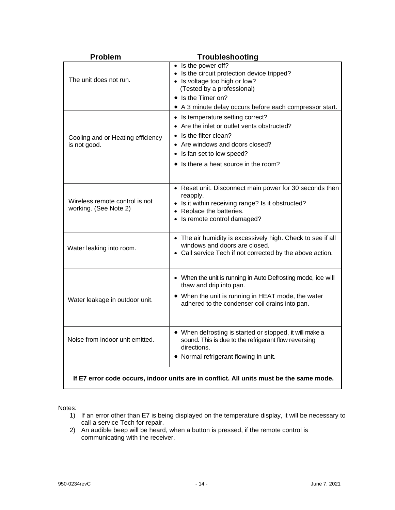| <b>Problem</b>                                          | <b>Troubleshooting</b>                                                                                                                                                                                             |
|---------------------------------------------------------|--------------------------------------------------------------------------------------------------------------------------------------------------------------------------------------------------------------------|
| The unit does not run.                                  | • Is the power off?<br>• Is the circuit protection device tripped?<br>• Is voltage too high or low?<br>(Tested by a professional)<br>• Is the Timer on?<br>• A 3 minute delay occurs before each compressor start. |
| Cooling and or Heating efficiency<br>is not good.       | • Is temperature setting correct?<br>• Are the inlet or outlet vents obstructed?<br>Is the filter clean?<br>• Are windows and doors closed?<br>• Is fan set to low speed?<br>• Is there a heat source in the room? |
| Wireless remote control is not<br>working. (See Note 2) | • Reset unit. Disconnect main power for 30 seconds then<br>reapply.<br>• Is it within receiving range? Is it obstructed?<br>• Replace the batteries.<br>• Is remote control damaged?                               |
| Water leaking into room.                                | • The air humidity is excessively high. Check to see if all<br>windows and doors are closed.<br>• Call service Tech if not corrected by the above action.                                                          |
| Water leakage in outdoor unit.                          | • When the unit is running in Auto Defrosting mode, ice will<br>thaw and drip into pan.<br>• When the unit is running in HEAT mode, the water<br>adhered to the condenser coil drains into pan.                    |
| Noise from indoor unit emitted.                         | • When defrosting is started or stopped, it will make a<br>sound. This is due to the refrigerant flow reversing<br>directions.<br>• Normal refrigerant flowing in unit.                                            |
|                                                         | If E7 error code occurs, indoor units are in conflict. All units must be the same mode.                                                                                                                            |

Notes:

- 1) If an error other than E7 is being displayed on the temperature display, it will be necessary to call a service Tech for repair.
- 2) An audible beep will be heard, when a button is pressed, if the remote control is communicating with the receiver.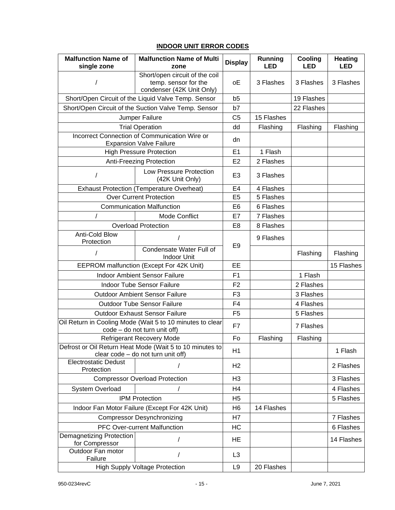#### **INDOOR UNIT ERROR CODES**

| <b>Malfunction Name of</b><br>single zone                                                 | <b>Malfunction Name of Multi</b><br>zone                                                       | <b>Display</b> | <b>Running</b><br><b>LED</b> | Cooling<br><b>LED</b> | <b>Heating</b><br><b>LED</b> |
|-------------------------------------------------------------------------------------------|------------------------------------------------------------------------------------------------|----------------|------------------------------|-----------------------|------------------------------|
|                                                                                           | Short/open circuit of the coil<br>temp. sensor for the<br>condenser (42K Unit Only)            | оE             | 3 Flashes                    | 3 Flashes             | 3 Flashes                    |
|                                                                                           | Short/Open Circuit of the Liquid Valve Temp. Sensor                                            | b <sub>5</sub> |                              | 19 Flashes            |                              |
|                                                                                           | Short/Open Circuit of the Suction Valve Temp. Sensor                                           | b7             |                              | 22 Flashes            |                              |
|                                                                                           | Jumper Failure                                                                                 | C <sub>5</sub> | 15 Flashes                   |                       |                              |
|                                                                                           | <b>Trial Operation</b>                                                                         | dd             | Flashing                     | Flashing              | Flashing                     |
|                                                                                           | Incorrect Connection of Communication Wire or<br><b>Expansion Valve Failure</b>                | dn             |                              |                       |                              |
|                                                                                           | <b>High Pressure Protection</b>                                                                | E1             | 1 Flash                      |                       |                              |
|                                                                                           | Anti-Freezing Protection                                                                       | E <sub>2</sub> | 2 Flashes                    |                       |                              |
| $\prime$                                                                                  | Low Pressure Protection<br>(42K Unit Only)                                                     | E <sub>3</sub> | 3 Flashes                    |                       |                              |
|                                                                                           | <b>Exhaust Protection (Temperature Overheat)</b>                                               | E <sub>4</sub> | 4 Flashes                    |                       |                              |
|                                                                                           | <b>Over Current Protection</b>                                                                 | E <sub>5</sub> | 5 Flashes                    |                       |                              |
|                                                                                           | <b>Communication Malfunction</b>                                                               | E <sub>6</sub> | 6 Flashes                    |                       |                              |
| /                                                                                         | Mode Conflict                                                                                  | E7             | 7 Flashes                    |                       |                              |
|                                                                                           | <b>Overload Protection</b>                                                                     | E <sub>8</sub> | 8 Flashes                    |                       |                              |
| Anti-Cold Blow<br>Protection                                                              |                                                                                                | E <sub>9</sub> | 9 Flashes                    |                       |                              |
| /                                                                                         | Condensate Water Full of<br><b>Indoor Unit</b>                                                 |                |                              | Flashing              | Flashing                     |
| EEPROM malfunction (Except For 42K Unit)                                                  |                                                                                                | EE             |                              |                       | 15 Flashes                   |
| <b>Indoor Ambient Sensor Failure</b>                                                      |                                                                                                | F <sub>1</sub> |                              | 1 Flash               |                              |
|                                                                                           | Indoor Tube Sensor Failure                                                                     | F <sub>2</sub> |                              | 2 Flashes             |                              |
|                                                                                           | <b>Outdoor Ambient Sensor Failure</b>                                                          | F <sub>3</sub> |                              | 3 Flashes             |                              |
|                                                                                           | <b>Outdoor Tube Sensor Failure</b>                                                             | F4             |                              | 4 Flashes             |                              |
|                                                                                           | <b>Outdoor Exhaust Sensor Failure</b>                                                          | F <sub>5</sub> |                              | 5 Flashes             |                              |
| Oil Return in Cooling Mode (Wait 5 to 10 minutes to clear<br>code - do not turn unit off) |                                                                                                | F7             |                              | 7 Flashes             |                              |
|                                                                                           | <b>Refrigerant Recovery Mode</b>                                                               | Fo             | Flashing                     | Flashing              |                              |
|                                                                                           | Defrost or Oil Return Heat Mode (Wait 5 to 10 minutes to<br>clear code - do not turn unit off) | H1             |                              |                       | 1 Flash                      |
| <b>Electrostatic Dedust</b><br>Protection                                                 | $\prime$                                                                                       | H <sub>2</sub> |                              |                       | 2 Flashes                    |
|                                                                                           | <b>Compressor Overload Protection</b>                                                          | H <sub>3</sub> |                              |                       | 3 Flashes                    |
| System Overload                                                                           | $\prime$                                                                                       | H4             |                              |                       | 4 Flashes                    |
|                                                                                           | <b>IPM Protection</b>                                                                          | H <sub>5</sub> |                              |                       | 5 Flashes                    |
| Indoor Fan Motor Failure (Except For 42K Unit)                                            |                                                                                                | H <sub>6</sub> | 14 Flashes                   |                       |                              |
| <b>Compressor Desynchronizing</b>                                                         |                                                                                                | H7             |                              |                       | 7 Flashes                    |
| PFC Over-current Malfunction                                                              |                                                                                                | HC             |                              |                       | 6 Flashes                    |
| Demagnetizing Protection<br>for Compressor                                                |                                                                                                | HE             |                              |                       | 14 Flashes                   |
| Outdoor Fan motor<br>Failure                                                              |                                                                                                | L <sub>3</sub> |                              |                       |                              |
| <b>High Supply Voltage Protection</b>                                                     |                                                                                                | L <sub>9</sub> | 20 Flashes                   |                       |                              |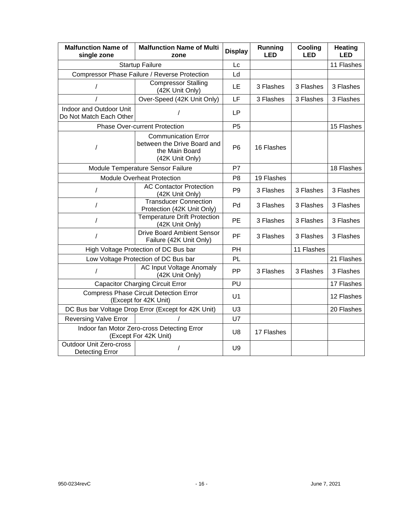| <b>Malfunction Name of</b><br>single zone                              | <b>Malfunction Name of Multi</b><br>zone                                                       | <b>Display</b> | Running<br><b>LED</b> | Cooling<br>LED | <b>Heating</b><br><b>LED</b> |
|------------------------------------------------------------------------|------------------------------------------------------------------------------------------------|----------------|-----------------------|----------------|------------------------------|
|                                                                        | <b>Startup Failure</b>                                                                         | Lc             |                       |                | 11 Flashes                   |
|                                                                        | Compressor Phase Failure / Reverse Protection                                                  | Ld             |                       |                |                              |
| /                                                                      | <b>Compressor Stalling</b><br>(42K Unit Only)                                                  | LE             | 3 Flashes             | 3 Flashes      | 3 Flashes                    |
|                                                                        | Over-Speed (42K Unit Only)                                                                     | LF             | 3 Flashes             | 3 Flashes      | 3 Flashes                    |
| Indoor and Outdoor Unit<br>Do Not Match Each Other                     |                                                                                                | <b>LP</b>      |                       |                |                              |
|                                                                        | <b>Phase Over-current Protection</b>                                                           | P <sub>5</sub> |                       |                | 15 Flashes                   |
| $\prime$                                                               | <b>Communication Error</b><br>between the Drive Board and<br>the Main Board<br>(42K Unit Only) | P <sub>6</sub> | 16 Flashes            |                |                              |
|                                                                        | Module Temperature Sensor Failure                                                              | P7             |                       |                | 18 Flashes                   |
|                                                                        | <b>Module Overheat Protection</b>                                                              | P <sub>8</sub> | 19 Flashes            |                |                              |
| $\prime$                                                               | <b>AC Contactor Protection</b><br>(42K Unit Only)                                              | P <sub>9</sub> | 3 Flashes             | 3 Flashes      | 3 Flashes                    |
| $\overline{1}$                                                         | <b>Transducer Connection</b><br>Protection (42K Unit Only)                                     | Pd             | 3 Flashes             | 3 Flashes      | 3 Flashes                    |
| $\prime$                                                               | <b>Temperature Drift Protection</b><br>(42K Unit Only)                                         | PE             | 3 Flashes             | 3 Flashes      | 3 Flashes                    |
| $\prime$                                                               | <b>Drive Board Ambient Sensor</b><br>Failure (42K Unit Only)                                   | <b>PF</b>      | 3 Flashes             | 3 Flashes      | 3 Flashes                    |
|                                                                        | High Voltage Protection of DC Bus bar                                                          | PH             |                       | 11 Flashes     |                              |
|                                                                        | Low Voltage Protection of DC Bus bar                                                           | PL             |                       |                | 21 Flashes                   |
| $\prime$                                                               | <b>AC Input Voltage Anomaly</b><br>(42K Unit Only)                                             | PP             | 3 Flashes             | 3 Flashes      | 3 Flashes                    |
|                                                                        | <b>Capacitor Charging Circuit Error</b>                                                        | PU             |                       |                | 17 Flashes                   |
| <b>Compress Phase Circuit Detection Error</b><br>(Except for 42K Unit) |                                                                                                | U <sub>1</sub> |                       |                | 12 Flashes                   |
| DC Bus bar Voltage Drop Error (Except for 42K Unit)                    |                                                                                                | U <sub>3</sub> |                       |                | 20 Flashes                   |
| <b>Reversing Valve Error</b>                                           |                                                                                                | U7             |                       |                |                              |
| Indoor fan Motor Zero-cross Detecting Error<br>(Except For 42K Unit)   |                                                                                                | U <sub>8</sub> | 17 Flashes            |                |                              |
| <b>Outdoor Unit Zero-cross</b><br>Detecting Error                      |                                                                                                | U <sub>9</sub> |                       |                |                              |